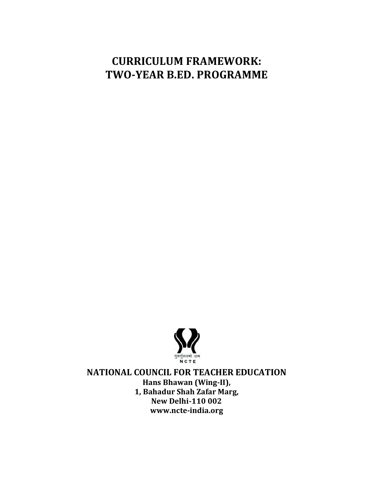# **CURRICULUM FRAMEWORK: TWO-YEAR B.ED. PROGRAMME**



**NATIONAL COUNCIL FOR TEACHER EDUCATION Hans Bhawan (Wing-II), 1, Bahadur Shah Zafar Marg, New Delhi-110 002 www.ncte-india.org**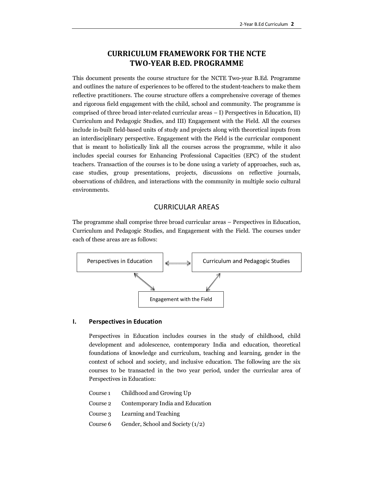## **CURRICULUM FRAMEWORK FOR THE NCTE TWO-YEAR B.ED. PROGRAMME**

This document presents the course structure for the NCTE Two-year B.Ed. Programme and outlines the nature of experiences to be offered to the student-teachers to make them reflective practitioners. The course structure offers a comprehensive coverage of themes and rigorous field engagement with the child, school and community. The programme is comprised of three broad inter-related curricular areas – I) Perspectives in Education, II) Curriculum and Pedagogic Studies, and III) Engagement with the Field. All the courses include in-built field-based units of study and projects along with theoretical inputs from an interdisciplinary perspective. Engagement with the Field is the curricular component that is meant to holistically link all the courses across the programme, while it also includes special courses for Enhancing Professional Capacities (EPC) of the student teachers. Transaction of the courses is to be done using a variety of approaches, such as, case studies, group presentations, projects, discussions on reflective journals, observations of children, and interactions with the community in multiple socio cultural environments.

## CURRICULAR AREAS

The programme shall comprise three broad curricular areas – Perspectives in Education, Curriculum and Pedagogic Studies, and Engagement with the Field. The courses under each of these areas are as follows:



#### **I. Perspectives in Education**

Perspectives in Education includes courses in the study of childhood, child development and adolescence, contemporary India and education, theoretical foundations of knowledge and curriculum, teaching and learning, gender in the context of school and society, and inclusive education. The following are the six courses to be transacted in the two year period, under the curricular area of Perspectives in Education:

Course 1 Childhood and Growing Up Course 2 Contemporary India and Education Course 3 Learning and Teaching Course 6 Gender, School and Society  $(1/2)$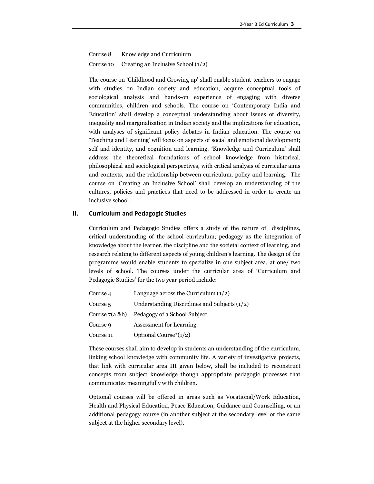Course 8 Knowledge and Curriculum Course 10 Creating an Inclusive School (1/2)

The course on 'Childhood and Growing up' shall enable student-teachers to engage with studies on Indian society and education, acquire conceptual tools of sociological analysis and hands-on experience of engaging with diverse communities, children and schools. The course on 'Contemporary India and Education' shall develop a conceptual understanding about issues of diversity, inequality and marginalization in Indian society and the implications for education, with analyses of significant policy debates in Indian education. The course on 'Teaching and Learning' will focus on aspects of social and emotional development; self and identity, and cognition and learning. 'Knowledge and Curriculum' shall address the theoretical foundations of school knowledge from historical, philosophical and sociological perspectives, with critical analysis of curricular aims and contexts, and the relationship between curriculum, policy and learning. The course on 'Creating an Inclusive School' shall develop an understanding of the cultures, policies and practices that need to be addressed in order to create an inclusive school.

#### **II. Curriculum and Pedagogic Studies**

Curriculum and Pedagogic Studies offers a study of the nature of disciplines, critical understanding of the school curriculum; pedagogy as the integration of knowledge about the learner, the discipline and the societal context of learning, and research relating to different aspects of young children's learning. The design of the programme would enable students to specialize in one subject area, at one/ two levels of school. The courses under the curricular area of 'Curriculum and Pedagogic Studies' for the two year period include:

| Course 4            | Language across the Curriculum $(1/2)$         |
|---------------------|------------------------------------------------|
| Course <sub>5</sub> | Understanding Disciplines and Subjects $(1/2)$ |
| Course 7(a &b)      | Pedagogy of a School Subject                   |
| Course 9            | <b>Assessment for Learning</b>                 |
| Course 11           | Optional Course* $(1/2)$                       |

These courses shall aim to develop in students an understanding of the curriculum, linking school knowledge with community life. A variety of investigative projects, that link with curricular area III given below, shall be included to reconstruct concepts from subject knowledge though appropriate pedagogic processes that communicates meaningfully with children.

Optional courses will be offered in areas such as Vocational/Work Education, Health and Physical Education, Peace Education, Guidance and Counselling, or an additional pedagogy course (in another subject at the secondary level or the same subject at the higher secondary level).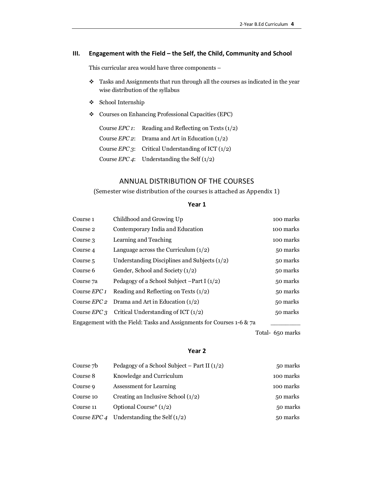#### **III. Engagement with the Field – the Self, the Child, Community and School**

This curricular area would have three components –

- $\spadesuit$  Tasks and Assignments that run through all the courses as indicated in the year wise distribution of the syllabus
- v School Internship
- v Courses on Enhancing Professional Capacities (EPC)

| Course <i>EPC</i> 1: Reading and Reflecting on Texts $(1/2)$ |
|--------------------------------------------------------------|
| Course <i>EPC</i> 2: Drama and Art in Education $(1/2)$      |
| Course <i>EPC</i> 3: Critical Understanding of ICT $(1/2)$   |
| Course <i>EPC</i> 4: Understanding the Self $(1/2)$          |

## ANNUAL DISTRIBUTION OF THE COURSES

(Semester wise distribution of the courses is attached as Appendix 1)

#### **Year 1**

| Course <sub>1</sub>                                                   | Childhood and Growing Up                                  | 100 marks |  |
|-----------------------------------------------------------------------|-----------------------------------------------------------|-----------|--|
| Course 2                                                              | Contemporary India and Education                          | 100 marks |  |
| Course 3                                                              | Learning and Teaching                                     | 100 marks |  |
| Course 4                                                              | Language across the Curriculum $(1/2)$                    | 50 marks  |  |
| Course <sub>5</sub>                                                   | Understanding Disciplines and Subjects $(1/2)$            | 50 marks  |  |
| Course 6                                                              | Gender, School and Society (1/2)                          | 50 marks  |  |
| Course 7a                                                             | Pedagogy of a School Subject $-Part I(1/2)$               | 50 marks  |  |
| Course <i>EPC</i> 1                                                   | Reading and Reflecting on Texts $(1/2)$                   | 50 marks  |  |
| Course <i>EPC</i> 2                                                   | Drama and Art in Education $(1/2)$                        | 50 marks  |  |
|                                                                       | Course <i>EPC</i> 3 Critical Understanding of ICT $(1/2)$ | 50 marks  |  |
| Engagement with the Field: Tasks and Assignments for Courses 1-6 & 7a |                                                           |           |  |

Total- 650 marks

## **Year 2**

| Course 7b | Pedagogy of a School Subject – Part II $(1/2)$     | 50 marks  |
|-----------|----------------------------------------------------|-----------|
| Course 8  | Knowledge and Curriculum                           | 100 marks |
| Course 9  | <b>Assessment for Learning</b>                     | 100 marks |
| Course 10 | Creating an Inclusive School $(1/2)$               | 50 marks  |
| Course 11 | Optional Course* $(1/2)$                           | 50 marks  |
|           | Course <i>EPC</i> 4 Understanding the Self $(1/2)$ | 50 marks  |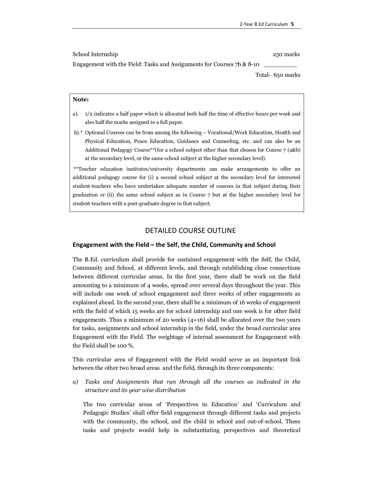School Internship 250 marks 200 marks 250 marks 250 marks 250 marks 250 marks 250 marks 250 marks 250 marks 250 marks 250 marks 250 marks 250 marks 250 marks 250 marks 250 marks 250 marks 250 marks 250 marks 250 marks 250

Engagement with the Field: Tasks and Assignments for Courses  $7b \& 8-10$ 

Total- 650 marks

#### **Note:**

- a). 1/2 indicates a half paper which is allocated both half the time of effective hours per week and also half the marks assigned to a full paper.
- b).\* Optional Courses can be from among the following Vocational/Work Education, Health and Physical Education, Peace Education, Guidance and Counseling, etc. and can also be an Additional Pedagogy Course\*\*(for a school subject other than that chosen for Course 7 (a&b) at the secondary level, or the same school subject at the higher secondary level).

\*\*Teacher education institutes/university departments can make arrangements to offer an additional pedagogy course for (i) a second school subject at the secondary level for interested student-teachers who have undertaken adequate number of courses in that subject during their graduation or (ii) the same school subject as in Course 7 but at the higher secondary level for student-teachers with a post-graduate degree in that subject.

#### DETAILED COURSE OUTLINE

#### **Engagement with the Field – the Self, the Child, Community and School**

The B.Ed. curriculum shall provide for sustained engagement with the Self, the Child, Community and School, at different levels, and through establishing close connections between different curricular areas. In the first year, there shall be work on the field amounting to a minimum of 4 weeks, spread over several days throughout the year. This will include one week of school engagement and three weeks of other engagements as explained ahead. In the second year, there shall be a minimum of 16 weeks of engagement with the field of which 15 weeks are for school internship and one week is for other field engagements. Thus a minimum of 20 weeks  $(4+16)$  shall be allocated over the two years for tasks, assignments and school internship in the field, under the broad curricular area Engagement with the Field. The weightage of internal assessment for Engagement with the Field shall be 100 %.

This curricular area of Engagement with the Field would serve as an important link between the other two broad areas and the field, through its three components:

*a) Tasks and Assignments that run through all the courses as indicated in the structure and its year wise distribution* 

The two curricular areas of 'Perspectives in Education' and 'Curriculum and Pedagogic Studies' shall offer field engagement through different tasks and projects with the community, the school, and the child in school and out-of-school. These tasks and projects would help in substantiating perspectives and theoretical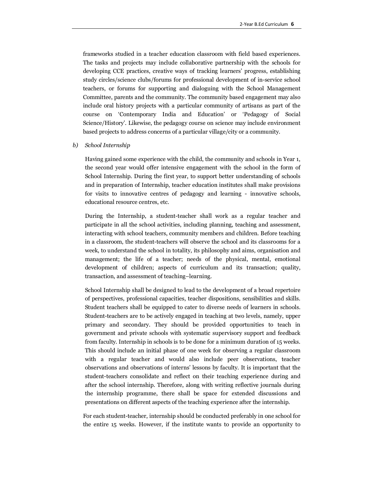frameworks studied in a teacher education classroom with field based experiences. The tasks and projects may include collaborative partnership with the schools for developing CCE practices, creative ways of tracking learners' progress, establishing study circles/science clubs/forums for professional development of in-service school teachers, or forums for supporting and dialoguing with the School Management Committee, parents and the community. The community based engagement may also include oral history projects with a particular community of artisans as part of the course on 'Contemporary India and Education' or 'Pedagogy of Social Science/History'. Likewise, the pedagogy course on science may include environment based projects to address concerns of a particular village/city or a community.

#### *b) School Internship*

Having gained some experience with the child, the community and schools in Year 1, the second year would offer intensive engagement with the school in the form of School Internship. During the first year, to support better understanding of schools and in preparation of Internship, teacher education institutes shall make provisions for visits to innovative centres of pedagogy and learning - innovative schools, educational resource centres, etc.

During the Internship, a student-teacher shall work as a regular teacher and participate in all the school activities, including planning, teaching and assessment, interacting with school teachers, community members and children. Before teaching in a classroom, the student-teachers will observe the school and its classrooms for a week, to understand the school in totality, its philosophy and aims, organisation and management; the life of a teacher; needs of the physical, mental, emotional development of children; aspects of curriculum and its transaction; quality, transaction, and assessment of teaching–learning.

School Internship shall be designed to lead to the development of a broad repertoire of perspectives, professional capacities, teacher dispositions, sensibilities and skills. Student teachers shall be equipped to cater to diverse needs of learners in schools. Student-teachers are to be actively engaged in teaching at two levels, namely, upper primary and secondary. They should be provided opportunities to teach in government and private schools with systematic supervisory support and feedback from faculty. Internship in schools is to be done for a minimum duration of 15 weeks. This should include an initial phase of one week for observing a regular classroom with a regular teacher and would also include peer observations, teacher observations and observations of interns' lessons by faculty. It is important that the student-teachers consolidate and reflect on their teaching experience during and after the school internship. Therefore, along with writing reflective journals during the internship programme, there shall be space for extended discussions and presentations on different aspects of the teaching experience after the internship.

For each student-teacher, internship should be conducted preferably in one school for the entire 15 weeks. However, if the institute wants to provide an opportunity to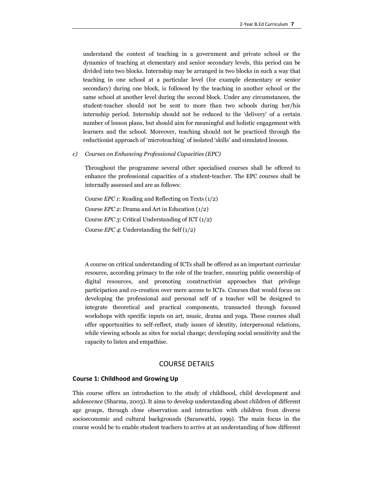understand the context of teaching in a government and private school or the dynamics of teaching at elementary and senior secondary levels, this period can be divided into two blocks. Internship may be arranged in two blocks in such a way that teaching in one school at a particular level (for example elementary or senior secondary) during one block, is followed by the teaching in another school or the same school at another level during the second block. Under any circumstances, the student-teacher should not be sent to more than two schools during her/his internship period. Internship should not be reduced to the 'delivery' of a certain number of lesson plans, but should aim for meaningful and holistic engagement with learners and the school. Moreover, teaching should not be practiced through the reductionist approach of 'microteaching' of isolated 'skills' and simulated lessons.

#### *c) Courses on Enhancing Professional Capacities (EPC)*

Throughout the programme several other specialised courses shall be offered to enhance the professional capacities of a student-teacher. The EPC courses shall be internally assessed and are as follows:

Course *EPC 1*: Reading and Reflecting on Texts (1/2) Course *EPC 2*: Drama and Art in Education (1/2) Course *EPC 3*: Critical Understanding of ICT (1/2) Course *EPC 4*: Understanding the Self (1/2)

A course on critical understanding of ICTs shall be offered as an important curricular resource, according primacy to the role of the teacher, ensuring public ownership of digital resources, and promoting constructivist approaches that privilege participation and co-creation over mere access to ICTs. Courses that would focus on developing the professional and personal self of a teacher will be designed to integrate theoretical and practical components, transacted through focused workshops with specific inputs on art, music, drama and yoga. These courses shall offer opportunities to self-reflect, study issues of identity, interpersonal relations, while viewing schools as sites for social change; developing social sensitivity and the capacity to listen and empathise.

## COURSE DETAILS

#### **Course 1: Childhood and Growing Up**

This course offers an introduction to the study of childhood, child development and adolescence (Sharma, 2003). It aims to develop understanding about children of different age groups, through close observation and interaction with children from diverse socioeconomic and cultural backgrounds (Saraswathi, 1999). The main focus in the course would be to enable student teachers to arrive at an understanding of how different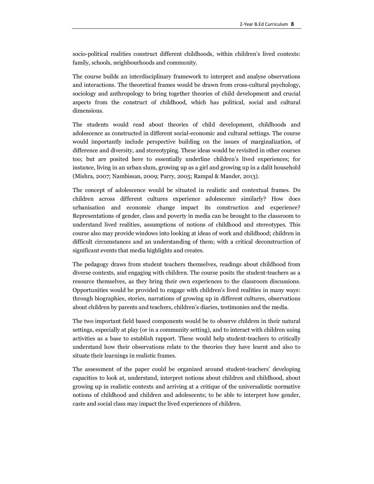socio-political realities construct different childhoods, within children's lived contexts: family, schools, neighbourhoods and community.

The course builds an interdisciplinary framework to interpret and analyse observations and interactions. The theoretical frames would be drawn from cross-cultural psychology, sociology and anthropology to bring together theories of child development and crucial aspects from the construct of childhood, which has political, social and cultural dimensions.

The students would read about theories of child development, childhoods and adolescence as constructed in different social-economic and cultural settings. The course would importantly include perspective building on the issues of marginalization, of difference and diversity, and stereotyping. These ideas would be revisited in other courses too; but are posited here to essentially underline children's lived experiences; for instance, living in an urban slum, growing up as a girl and growing up in a dalit household (Mishra, 2007; Nambissan, 2009; Parry, 2005; Rampal & Mander, 2013).

The concept of adolescence would be situated in realistic and contextual frames. Do children across different cultures experience adolescence similarly? How does urbanisation and economic change impact its construction and experience? Representations of gender, class and poverty in media can be brought to the classroom to understand lived realities, assumptions of notions of childhood and stereotypes. This course also may provide windows into looking at ideas of work and childhood; children in difficult circumstances and an understanding of them; with a critical deconstruction of significant events that media highlights and creates.

The pedagogy draws from student teachers themselves, readings about childhood from diverse contexts, and engaging with children. The course posits the student-teachers as a resource themselves, as they bring their own experiences to the classroom discussions. Opportunities would be provided to engage with children's lived realities in many ways: through biographies, stories, narrations of growing up in different cultures, observations about children by parents and teachers, children's diaries, testimonies and the media.

The two important field based components would be to observe children in their natural settings, especially at play (or in a community setting), and to interact with children using activities as a base to establish rapport. These would help student-teachers to critically understand how their observations relate to the theories they have learnt and also to situate their learnings in realistic frames.

The assessment of the paper could be organized around student-teachers' developing capacities to look at, understand, interpret notions about children and childhood, about growing up in realistic contexts and arriving at a critique of the universalistic normative notions of childhood and children and adolescents; to be able to interpret how gender, caste and social class may impact the lived experiences of children.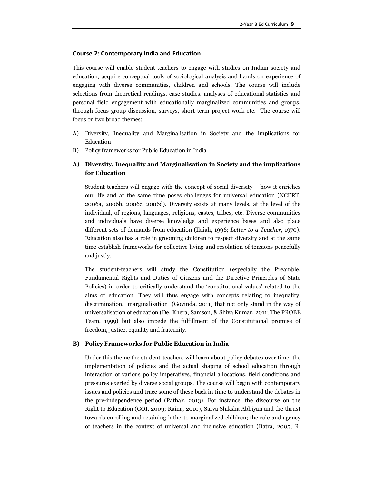#### **Course 2: Contemporary India and Education**

This course will enable student-teachers to engage with studies on Indian society and education, acquire conceptual tools of sociological analysis and hands on experience of engaging with diverse communities, children and schools. The course will include selections from theoretical readings, case studies, analyses of educational statistics and personal field engagement with educationally marginalized communities and groups, through focus group discussion, surveys, short term project work etc. The course will focus on two broad themes:

- A) Diversity, Inequality and Marginalisation in Society and the implications for Education
- B) Policy frameworks for Public Education in India

## **A) Diversity, Inequality and Marginalisation in Society and the implications for Education**

Student-teachers will engage with the concept of social diversity – how it enriches our life and at the same time poses challenges for universal education (NCERT, 2006a, 2006b, 2006c, 2006d). Diversity exists at many levels, at the level of the individual, of regions, languages, religions, castes, tribes, etc. Diverse communities and individuals have diverse knowledge and experience bases and also place different sets of demands from education (Ilaiah, 1996; *Letter to a Teacher*, 1970). Education also has a role in grooming children to respect diversity and at the same time establish frameworks for collective living and resolution of tensions peacefully and justly.

The student-teachers will study the Constitution (especially the Preamble, Fundamental Rights and Duties of Citizens and the Directive Principles of State Policies) in order to critically understand the 'constitutional values' related to the aims of education. They will thus engage with concepts relating to inequality, discrimination, marginalization (Govinda, 2011) that not only stand in the way of universalisation of education (De, Khera, Samson, & Shiva Kumar, 2011; The PROBE Team, 1999) but also impede the fulfillment of the Constitutional promise of freedom, justice, equality and fraternity.

#### **B) Policy Frameworks for Public Education in India**

Under this theme the student-teachers will learn about policy debates over time, the implementation of policies and the actual shaping of school education through interaction of various policy imperatives, financial allocations, field conditions and pressures exerted by diverse social groups. The course will begin with contemporary issues and policies and trace some of these back in time to understand the debates in the pre-independence period (Pathak, 2013). For instance, the discourse on the Right to Education (GOI, 2009; Raina, 2010), Sarva Shiksha Abhiyan and the thrust towards enrolling and retaining hitherto marginalized children; the role and agency of teachers in the context of universal and inclusive education (Batra, 2005; R.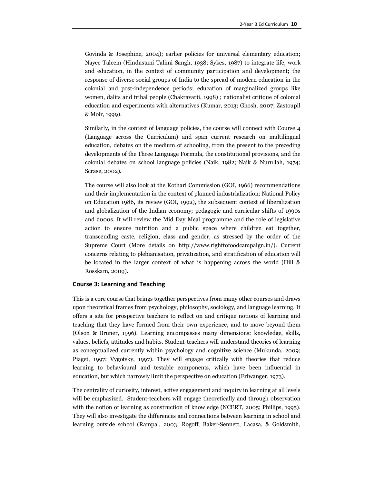Govinda & Josephine, 2004); earlier policies for universal elementary education; Nayee Taleem (Hindustani Talimi Sangh, 1938; Sykes, 1987) to integrate life, work and education, in the context of community participation and development; the response of diverse social groups of India to the spread of modern education in the colonial and post-independence periods; education of marginalized groups like women, dalits and tribal people (Chakravarti, 1998) ; nationalist critique of colonial education and experiments with alternatives (Kumar, 2013; Ghosh, 2007; Zastoupil & Moir, 1999).

Similarly, in the context of language policies, the course will connect with Course 4 (Language across the Curriculum) and span current research on multilingual education, debates on the medium of schooling, from the present to the preceding developments of the Three Language Formula, the constitutional provisions, and the colonial debates on school language policies (Naik, 1982; Naik & Nurullah, 1974; Scrase, 2002).

The course will also look at the Kothari Commission (GOI, 1966) recommendations and their implementation in the context of planned industrialization; National Policy on Education 1986, its review (GOI, 1992), the subsequent context of liberalization and globalization of the Indian economy; pedagogic and curricular shifts of 1990s and 2000s. It will review the Mid Day Meal programme and the role of legislative action to ensure nutrition and a public space where children eat together, transcending caste, religion, class and gender, as stressed by the order of the Supreme Court (More details on http://www.righttofoodcampaign.in/). Current concerns relating to plebianisation, privatization, and stratification of education will be located in the larger context of what is happening across the world (Hill & Rosskam, 2009).

#### **Course 3: Learning and Teaching**

This is a core course that brings together perspectives from many other courses and draws upon theoretical frames from psychology, philosophy, sociology, and language learning. It offers a site for prospective teachers to reflect on and critique notions of learning and teaching that they have formed from their own experience, and to move beyond them (Olson & Bruner, 1996). Learning encompasses many dimensions: knowledge, skills, values, beliefs, attitudes and habits. Student-teachers will understand theories of learning as conceptualized currently within psychology and cognitive science (Mukunda, 2009; Piaget, 1997; Vygotsky, 1997). They will engage critically with theories that reduce learning to behavioural and testable components, which have been influential in education, but which narrowly limit the perspective on education (Erlwanger, 1973).

The centrality of curiosity, interest, active engagement and inquiry in learning at all levels will be emphasized. Student-teachers will engage theoretically and through observation with the notion of learning as construction of knowledge (NCERT, 2005; Phillips, 1995). They will also investigate the differences and connections between learning in school and learning outside school (Rampal, 2003; Rogoff, Baker-Sennett, Lacasa, & Goldsmith,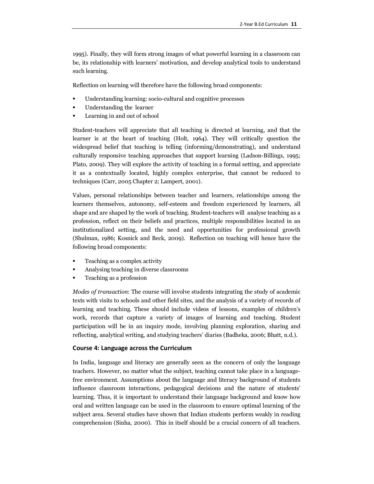1995). Finally, they will form strong images of what powerful learning in a classroom can be, its relationship with learners' motivation, and develop analytical tools to understand such learning.

Reflection on learning will therefore have the following broad components:

- ß Understanding learning: socio-cultural and cognitive processes
- ß Understanding the learner
- ß Learning in and out of school

Student-teachers will appreciate that all teaching is directed at learning, and that the learner is at the heart of teaching (Holt, 1964). They will critically question the widespread belief that teaching is telling (informing/demonstrating), and understand culturally responsive teaching approaches that support learning (Ladson-Billings, 1995; Plato, 2009). They will explore the activity of teaching in a formal setting, and appreciate it as a contextually located, highly complex enterprise, that cannot be reduced to techniques (Carr, 2005 Chapter 2; Lampert, 2001).

Values, personal relationships between teacher and learners, relationships among the learners themselves, autonomy, self-esteem and freedom experienced by learners, all shape and are shaped by the work of teaching. Student-teachers will analyse teaching as a profession, reflect on their beliefs and practices, multiple responsibilities located in an institutionalized setting, and the need and opportunities for professional growth (Shulman, 1986; Kosnick and Beck, 2009). Reflection on teaching will hence have the following broad components:

- ß Teaching as a complex activity
- ß Analysing teaching in diverse classrooms
- ß Teaching as a profession

*Modes of transaction*: The course will involve students integrating the study of academic texts with visits to schools and other field sites, and the analysis of a variety of records of learning and teaching. These should include videos of lessons, examples of children's work, records that capture a variety of images of learning and teaching. Student participation will be in an inquiry mode, involving planning exploration, sharing and reflecting, analytical writing, and studying teachers' diaries (Badheka, 2006; Bhatt, n.d.).

#### **Course 4: Language across the Curriculum**

In India, language and literacy are generally seen as the concern of only the language teachers. However, no matter what the subject, teaching cannot take place in a languagefree environment. Assumptions about the language and literacy background of students influence classroom interactions, pedagogical decisions and the nature of students' learning. Thus, it is important to understand their language background and know how oral and written language can be used in the classroom to ensure optimal learning of the subject area. Several studies have shown that Indian students perform weakly in reading comprehension (Sinha, 2000). This in itself should be a crucial concern of all teachers.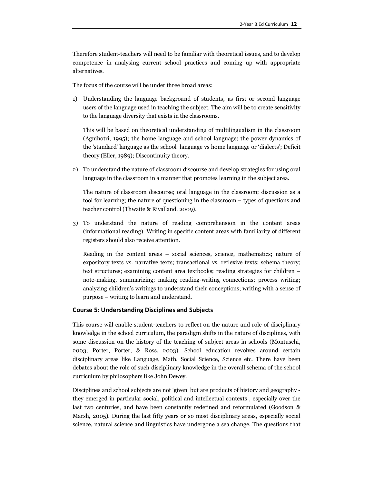Therefore student-teachers will need to be familiar with theoretical issues, and to develop competence in analysing current school practices and coming up with appropriate alternatives.

The focus of the course will be under three broad areas:

1) Understanding the language background of students, as first or second language users of the language used in teaching the subject. The aim will be to create sensitivity to the language diversity that exists in the classrooms.

This will be based on theoretical understanding of multilingualism in the classroom (Agnihotri, 1995); the home language and school language; the power dynamics of the 'standard' language as the school language vs home language or 'dialects'; Deficit theory (Eller, 1989); Discontinuity theory.

2) To understand the nature of classroom discourse and develop strategies for using oral language in the classroom in a manner that promotes learning in the subject area.

The nature of classroom discourse; oral language in the classroom; discussion as a tool for learning; the nature of questioning in the classroom – types of questions and teacher control (Thwaite & Rivalland, 2009).

3) To understand the nature of reading comprehension in the content areas (informational reading). Writing in specific content areas with familiarity of different registers should also receive attention.

Reading in the content areas – social sciences, science, mathematics; nature of expository texts vs. narrative texts; transactional vs. reflexive texts; schema theory; text structures; examining content area textbooks; reading strategies for children – note-making, summarizing; making reading-writing connections; process writing; analyzing children's writings to understand their conceptions; writing with a sense of purpose – writing to learn and understand.

#### **Course 5: Understanding Disciplines and Subjects**

This course will enable student-teachers to reflect on the nature and role of disciplinary knowledge in the school curriculum, the paradigm shifts in the nature of disciplines, with some discussion on the history of the teaching of subject areas in schools (Montuschi, 2003; Porter, Porter, & Ross, 2003). School education revolves around certain disciplinary areas like Language, Math, Social Science, Science etc. There have been debates about the role of such disciplinary knowledge in the overall schema of the school curriculum by philosophers like John Dewey.

Disciplines and school subjects are not 'given' but are products of history and geography they emerged in particular social, political and intellectual contexts , especially over the last two centuries, and have been constantly redefined and reformulated (Goodson & Marsh, 2005). During the last fifty years or so most disciplinary areas, especially social science, natural science and linguistics have undergone a sea change. The questions that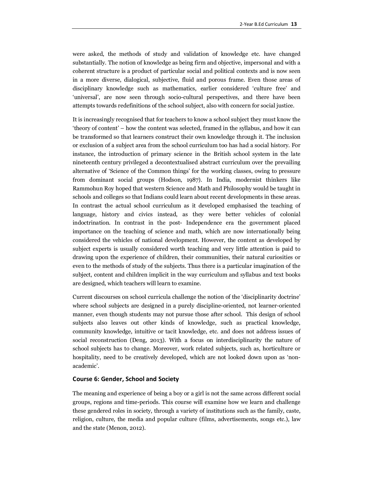were asked, the methods of study and validation of knowledge etc. have changed substantially. The notion of knowledge as being firm and objective, impersonal and with a coherent structure is a product of particular social and political contexts and is now seen in a more diverse, dialogical, subjective, fluid and porous frame. Even those areas of disciplinary knowledge such as mathematics, earlier considered 'culture free' and 'universal', are now seen through socio-cultural perspectives, and there have been attempts towards redefinitions of the school subject, also with concern for social justice.

It is increasingly recognised that for teachers to know a school subject they must know the 'theory of content' – how the content was selected, framed in the syllabus, and how it can be transformed so that learners construct their own knowledge through it. The inclusion or exclusion of a subject area from the school curriculum too has had a social history. For instance, the introduction of primary science in the British school system in the late nineteenth century privileged a decontextualised abstract curriculum over the prevailing alternative of 'Science of the Common things' for the working classes, owing to pressure from dominant social groups (Hodson, 1987). In India, modernist thinkers like Rammohun Roy hoped that western Science and Math and Philosophy would be taught in schools and colleges so that Indians could learn about recent developments in these areas. In contrast the actual school curriculum as it developed emphasised the teaching of language, history and civics instead, as they were better vehicles of colonial indoctrination. In contrast in the post- Independence era the government placed importance on the teaching of science and math, which are now internationally being considered the vehicles of national development. However, the content as developed by subject experts is usually considered worth teaching and very little attention is paid to drawing upon the experience of children, their communities, their natural curiosities or even to the methods of study of the subjects. Thus there is a particular imagination of the subject, content and children implicit in the way curriculum and syllabus and text books are designed, which teachers will learn to examine.

Current discourses on school curricula challenge the notion of the 'disciplinarity doctrine' where school subjects are designed in a purely discipline-oriented, not learner-oriented manner, even though students may not pursue those after school. This design of school subjects also leaves out other kinds of knowledge, such as practical knowledge, community knowledge, intuitive or tacit knowledge, etc. and does not address issues of social reconstruction (Deng, 2013). With a focus on interdisciplinarity the nature of school subjects has to change. Moreover, work related subjects, such as, horticulture or hospitality, need to be creatively developed, which are not looked down upon as 'nonacademic'.

#### **Course 6: Gender, School and Society**

The meaning and experience of being a boy or a girl is not the same across different social groups, regions and time-periods. This course will examine how we learn and challenge these gendered roles in society, through a variety of institutions such as the family, caste, religion, culture, the media and popular culture (films, advertisements, songs etc.), law and the state (Menon, 2012).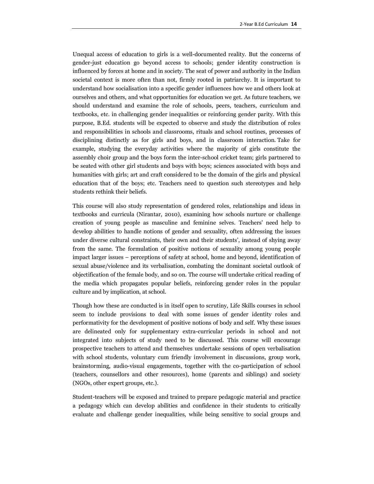Unequal access of education to girls is a well-documented reality. But the concerns of gender-just education go beyond access to schools; gender identity construction is influenced by forces at home and in society. The seat of power and authority in the Indian societal context is more often than not, firmly rooted in patriarchy. It is important to understand how socialisation into a specific gender influences how we and others look at ourselves and others, and what opportunities for education we get. As future teachers, we should understand and examine the role of schools, peers, teachers, curriculum and textbooks, etc. in challenging gender inequalities or reinforcing gender parity. With this purpose, B.Ed. students will be expected to observe and study the distribution of roles and responsibilities in schools and classrooms, rituals and school routines, processes of disciplining distinctly as for girls and boys, and in classroom interaction. Take for example, studying the everyday activities where the majority of girls constitute the assembly choir group and the boys form the inter-school cricket team; girls partnered to be seated with other girl students and boys with boys; sciences associated with boys and humanities with girls; art and craft considered to be the domain of the girls and physical education that of the boys; etc. Teachers need to question such stereotypes and help students rethink their beliefs.

This course will also study representation of gendered roles, relationships and ideas in textbooks and curricula (Nirantar, 2010), examining how schools nurture or challenge creation of young people as masculine and feminine selves. Teachers' need help to develop abilities to handle notions of gender and sexuality, often addressing the issues under diverse cultural constraints, their own and their students', instead of shying away from the same. The formulation of positive notions of sexuality among young people impact larger issues – perceptions of safety at school, home and beyond, identification of sexual abuse/violence and its verbalisation, combating the dominant societal outlook of objectification of the female body, and so on. The course will undertake critical reading of the media which propagates popular beliefs, reinforcing gender roles in the popular culture and by implication, at school.

Though how these are conducted is in itself open to scrutiny, Life Skills courses in school seem to include provisions to deal with some issues of gender identity roles and performativity for the development of positive notions of body and self. Why these issues are delineated only for supplementary extra-curricular periods in school and not integrated into subjects of study need to be discussed. This course will encourage prospective teachers to attend and themselves undertake sessions of open verbalisation with school students, voluntary cum friendly involvement in discussions, group work, brainstorming, audio-visual engagements, together with the co-participation of school (teachers, counsellors and other resources), home (parents and siblings) and society (NGOs, other expert groups, etc.).

Student-teachers will be exposed and trained to prepare pedagogic material and practice a pedagogy which can develop abilities and confidence in their students to critically evaluate and challenge gender inequalities, while being sensitive to social groups and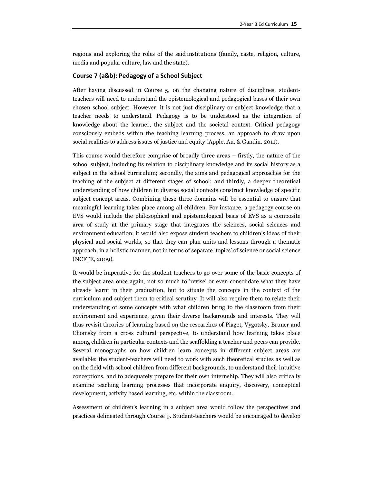regions and exploring the roles of the said institutions (family, caste, religion, culture, media and popular culture, law and the state).

#### **Course 7 (a&b): Pedagogy of a School Subject**

After having discussed in Course 5, on the changing nature of disciplines, studentteachers will need to understand the epistemological and pedagogical bases of their own chosen school subject. However, it is not just disciplinary or subject knowledge that a teacher needs to understand. Pedagogy is to be understood as the integration of knowledge about the learner, the subject and the societal context. Critical pedagogy consciously embeds within the teaching learning process, an approach to draw upon social realities to address issues of justice and equity (Apple, Au, & Gandin, 2011).

This course would therefore comprise of broadly three areas – firstly, the nature of the school subject, including its relation to disciplinary knowledge and its social history as a subject in the school curriculum; secondly, the aims and pedagogical approaches for the teaching of the subject at different stages of school; and thirdly, a deeper theoretical understanding of how children in diverse social contexts construct knowledge of specific subject concept areas. Combining these three domains will be essential to ensure that meaningful learning takes place among all children. For instance, a pedagogy course on EVS would include the philosophical and epistemological basis of EVS as a composite area of study at the primary stage that integrates the sciences, social sciences and environment education; it would also expose student teachers to children's ideas of their physical and social worlds, so that they can plan units and lessons through a thematic approach, in a holistic manner, not in terms of separate 'topics' of science or social science (NCFTE, 2009).

It would be imperative for the student-teachers to go over some of the basic concepts of the subject area once again, not so much to 'revise' or even consolidate what they have already learnt in their graduation, but to situate the concepts in the context of the curriculum and subject them to critical scrutiny. It will also require them to relate their understanding of some concepts with what children bring to the classroom from their environment and experience, given their diverse backgrounds and interests. They will thus revisit theories of learning based on the researches of Piaget, Vygotsky, Bruner and Chomsky from a cross cultural perspective, to understand how learning takes place among children in particular contexts and the scaffolding a teacher and peers can provide. Several monographs on how children learn concepts in different subject areas are available; the student-teachers will need to work with such theoretical studies as well as on the field with school children from different backgrounds, to understand their intuitive conceptions, and to adequately prepare for their own internship. They will also critically examine teaching learning processes that incorporate enquiry, discovery, conceptual development, activity based learning, etc. within the classroom.

Assessment of children's learning in a subject area would follow the perspectives and practices delineated through Course 9. Student-teachers would be encouraged to develop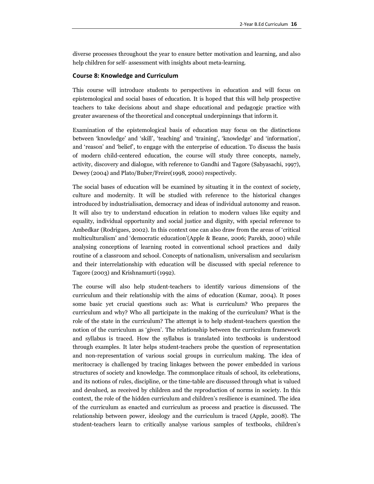diverse processes throughout the year to ensure better motivation and learning, and also help children for self- assessment with insights about meta-learning.

#### **Course 8: Knowledge and Curriculum**

This course will introduce students to perspectives in education and will focus on epistemological and social bases of education. It is hoped that this will help prospective teachers to take decisions about and shape educational and pedagogic practice with greater awareness of the theoretical and conceptual underpinnings that inform it.

Examination of the epistemological basis of education may focus on the distinctions between 'knowledge' and 'skill', 'teaching' and 'training', 'knowledge' and 'information', and 'reason' and 'belief', to engage with the enterprise of education. To discuss the basis of modern child-centered education, the course will study three concepts, namely, activity, discovery and dialogue, with reference to Gandhi and Tagore (Sabyasachi, 1997), Dewey (2004) and Plato/Buber/Freire(1998, 2000) respectively.

The social bases of education will be examined by situating it in the context of society, culture and modernity. It will be studied with reference to the historical changes introduced by industrialisation, democracy and ideas of individual autonomy and reason. It will also try to understand education in relation to modern values like equity and equality, individual opportunity and social justice and dignity, with special reference to Ambedkar (Rodrigues, 2002). In this context one can also draw from the areas of 'critical multiculturalism' and 'democratic education'(Apple & Beane, 2006; Parekh, 2000) while analysing conceptions of learning rooted in conventional school practices and daily routine of a classroom and school. Concepts of nationalism, universalism and secularism and their interrelationship with education will be discussed with special reference to Tagore (2003) and Krishnamurti (1992).

The course will also help student-teachers to identify various dimensions of the curriculum and their relationship with the aims of education (Kumar, 2004). It poses some basic yet crucial questions such as: What is curriculum? Who prepares the curriculum and why? Who all participate in the making of the curriculum? What is the role of the state in the curriculum? The attempt is to help student-teachers question the notion of the curriculum as 'given'. The relationship between the curriculum framework and syllabus is traced. How the syllabus is translated into textbooks is understood through examples. It later helps student-teachers probe the question of representation and non-representation of various social groups in curriculum making. The idea of meritocracy is challenged by tracing linkages between the power embedded in various structures of society and knowledge. The commonplace rituals of school, its celebrations, and its notions of rules, discipline, or the time-table are discussed through what is valued and devalued, as received by children and the reproduction of norms in society. In this context, the role of the hidden curriculum and children's resilience is examined. The idea of the curriculum as enacted and curriculum as process and practice is discussed. The relationship between power, ideology and the curriculum is traced (Apple, 2008). The student-teachers learn to critically analyse various samples of textbooks, children's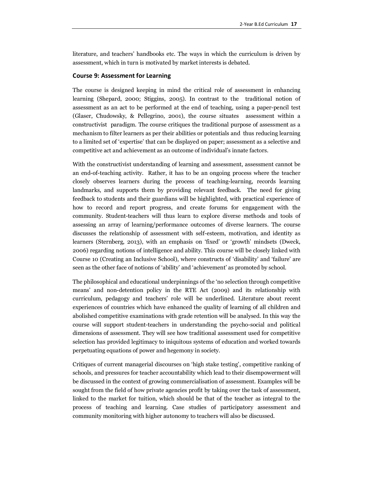literature, and teachers' handbooks etc. The ways in which the curriculum is driven by assessment, which in turn is motivated by market interests is debated.

#### **Course 9: Assessment for Learning**

The course is designed keeping in mind the critical role of assessment in enhancing learning (Shepard, 2000; Stiggins, 2005). In contrast to the traditional notion of assessment as an act to be performed at the end of teaching, using a paper-pencil test (Glaser, Chudowsky, & Pellegrino, 2001), the course situates assessment within a constructivist paradigm. The course critiques the traditional purpose of assessment as a mechanism to filter learners as per their abilities or potentials and thus reducing learning to a limited set of 'expertise' that can be displayed on paper; assessment as a selective and competitive act and achievement as an outcome of individual's innate factors.

With the constructivist understanding of learning and assessment, assessment cannot be an end-of-teaching activity. Rather, it has to be an ongoing process where the teacher closely observes learners during the process of teaching-learning, records learning landmarks, and supports them by providing relevant feedback. The need for giving feedback to students and their guardians will be highlighted, with practical experience of how to record and report progress, and create forums for engagement with the community. Student-teachers will thus learn to explore diverse methods and tools of assessing an array of learning/performance outcomes of diverse learners. The course discusses the relationship of assessment with self-esteem, motivation, and identity as learners (Sternberg, 2013), with an emphasis on 'fixed' or 'growth' mindsets (Dweck, 2006) regarding notions of intelligence and ability. This course will be closely linked with Course 10 (Creating an Inclusive School), where constructs of 'disability' and 'failure' are seen as the other face of notions of 'ability' and 'achievement' as promoted by school.

The philosophical and educational underpinnings of the 'no selection through competitive means' and non-detention policy in the RTE Act (2009) and its relationship with curriculum, pedagogy and teachers' role will be underlined. Literature about recent experiences of countries which have enhanced the quality of learning of all children and abolished competitive examinations with grade retention will be analysed. In this way the course will support student-teachers in understanding the psycho-social and political dimensions of assessment. They will see how traditional assessment used for competitive selection has provided legitimacy to iniquitous systems of education and worked towards perpetuating equations of power and hegemony in society.

Critiques of current managerial discourses on 'high stake testing', competitive ranking of schools, and pressures for teacher accountability which lead to their disempowerment will be discussed in the context of growing commercialisation of assessment. Examples will be sought from the field of how private agencies profit by taking over the task of assessment, linked to the market for tuition, which should be that of the teacher as integral to the process of teaching and learning. Case studies of participatory assessment and community monitoring with higher autonomy to teachers will also be discussed.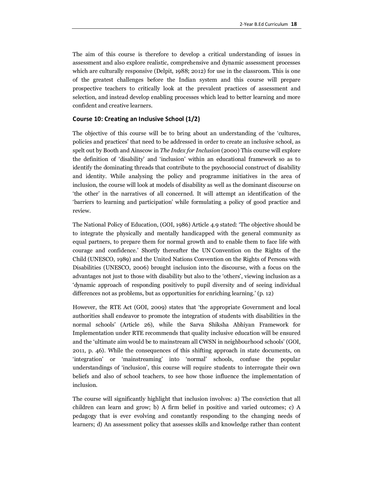The aim of this course is therefore to develop a critical understanding of issues in assessment and also explore realistic, comprehensive and dynamic assessment processes which are culturally responsive (Delpit, 1988; 2012) for use in the classroom. This is one of the greatest challenges before the Indian system and this course will prepare prospective teachers to critically look at the prevalent practices of assessment and selection, and instead develop enabling processes which lead to better learning and more confident and creative learners.

#### **Course 10: Creating an Inclusive School (1/2)**

The objective of this course will be to bring about an understanding of the 'cultures, policies and practices' that need to be addressed in order to create an inclusive school, as spelt out by Booth and Ainscow in *The Index for Inclusion* (2000) This course will explore the definition of 'disability' and 'inclusion' within an educational framework so as to identify the dominating threads that contribute to the psychosocial construct of disability and identity. While analysing the policy and programme initiatives in the area of inclusion, the course will look at models of disability as well as the dominant discourse on 'the other' in the narratives of all concerned. It will attempt an identification of the 'barriers to learning and participation' while formulating a policy of good practice and review.

The National Policy of Education, (GOI, 1986) Article 4.9 stated: 'The objective should be to integrate the physically and mentally handicapped with the general community as equal partners, to prepare them for normal growth and to enable them to face life with courage and confidence.' Shortly thereafter the UN Convention on the Rights of the Child (UNESCO, 1989) and the United Nations Convention on the Rights of Persons with Disabilities (UNESCO, 2006) brought inclusion into the discourse, with a focus on the advantages not just to those with disability but also to the 'others', viewing inclusion as a 'dynamic approach of responding positively to pupil diversity and of seeing individual differences not as problems, but as opportunities for enriching learning.' (p. 12)

However, the RTE Act (GOI, 2009) states that 'the appropriate Government and local authorities shall endeavor to promote the integration of students with disabilities in the normal schools' (Article 26), while the Sarva Shiksha Abhiyan Framework for Implementation under RTE recommends that quality inclusive education will be ensured and the 'ultimate aim would be to mainstream all CWSN in neighbourhood schools' (GOI, 2011, p. 46). While the consequences of this shifting approach in state documents, on 'integration' or 'mainstreaming' into 'normal' schools, confuse the popular understandings of 'inclusion', this course will require students to interrogate their own beliefs and also of school teachers, to see how those influence the implementation of inclusion.

The course will significantly highlight that inclusion involves: a) The conviction that all children can learn and grow; b) A firm belief in positive and varied outcomes; c) A pedagogy that is ever evolving and constantly responding to the changing needs of learners; d) An assessment policy that assesses skills and knowledge rather than content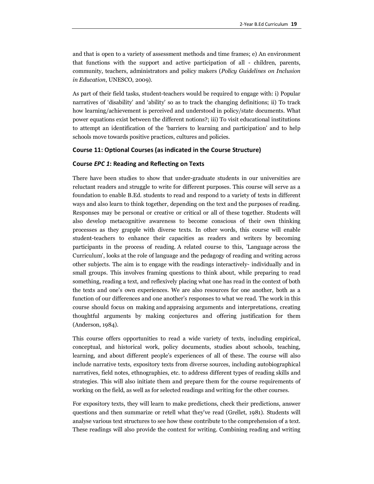and that is open to a variety of assessment methods and time frames; e) An environment that functions with the support and active participation of all - children, parents, community, teachers, administrators and policy makers (*Policy Guidelines on Inclusion in Education*, UNESCO, 2009).

As part of their field tasks, student-teachers would be required to engage with: i) Popular narratives of 'disability' and 'ability' so as to track the changing definitions; ii) To track how learning/achievement is perceived and understood in policy/state documents. What power equations exist between the different notions?; iii) To visit educational institutions to attempt an identification of the 'barriers to learning and participation' and to help schools move towards positive practices, cultures and policies.

#### **Course 11: Optional Courses (as indicated in the Course Structure)**

#### **Course** *EPC 1***: Reading and Reflecting on Texts**

There have been studies to show that under-graduate students in our universities are reluctant readers and struggle to write for different purposes. This course will serve as a foundation to enable B.Ed. students to read and respond to a variety of texts in different ways and also learn to think together, depending on the text and the purposes of reading. Responses may be personal or creative or critical or all of these together. Students will also develop metacognitive awareness to become conscious of their own thinking processes as they grapple with diverse texts. In other words, this course will enable student-teachers to enhance their capacities as readers and writers by becoming participants in the process of reading. A related course to this, 'Language across the Curriculum', looks at the role of language and the pedagogy of reading and writing across other subjects. The aim is to engage with the readings interactively- individually and in small groups. This involves framing questions to think about, while preparing to read something, reading a text, and reflexively placing what one has read in the context of both the texts and one's own experiences. We are also resources for one another, both as a function of our differences and one another's responses to what we read. The work in this course should focus on making and appraising arguments and interpretations, creating thoughtful arguments by making conjectures and offering justification for them (Anderson, 1984).

This course offers opportunities to read a wide variety of texts, including empirical, conceptual, and historical work, policy documents, studies about schools, teaching, learning, and about different people's experiences of all of these. The course will also include narrative texts, expository texts from diverse sources, including autobiographical narratives, field notes, ethnographies, etc. to address different types of reading skills and strategies. This will also initiate them and prepare them for the course requirements of working on the field, as well as for selected readings and writing for the other courses.

For expository texts, they will learn to make predictions, check their predictions, answer questions and then summarize or retell what they've read (Grellet, 1981). Students will analyse various text structures to see how these contribute to the comprehension of a text. These readings will also provide the context for writing. Combining reading and writing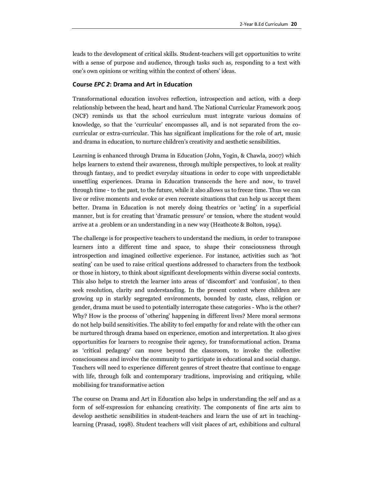leads to the development of critical skills. Student-teachers will get opportunities to write with a sense of purpose and audience, through tasks such as, responding to a text with one's own opinions or writing within the context of others' ideas.

#### **Course** *EPC 2***: Drama and Art in Education**

Transformational education involves reflection, introspection and action, with a deep relationship between the head, heart and hand. The National Curricular Framework 2005 (NCF) reminds us that the school curriculum must integrate various domains of knowledge, so that the 'curricular' encompasses all, and is not separated from the cocurricular or extra-curricular. This has significant implications for the role of art, music and drama in education, to nurture children's creativity and aesthetic sensibilities.

Learning is enhanced through Drama in Education (John, Yogin, & Chawla, 2007) which helps learners to extend their awareness, through multiple perspectives, to look at reality through fantasy, and to predict everyday situations in order to cope with unpredictable unsettling experiences. Drama in Education transcends the here and now, to travel through time - to the past, to the future, while it also allows us to freeze time. Thus we can live or relive moments and evoke or even recreate situations that can help us accept them better. Drama in Education is not merely doing theatrics or 'acting' in a superficial manner, but is for creating that 'dramatic pressure' or tension, where the student would arrive at a .problem or an understanding in a new way (Heathcote & Bolton, 1994).

The challenge is for prospective teachers to understand the medium, in order to transpose learners into a different time and space, to shape their consciousness through introspection and imagined collective experience. For instance, activities such as 'hot seating' can be used to raise critical questions addressed to characters from the textbook or those in history, to think about significant developments within diverse social contexts. This also helps to stretch the learner into areas of 'discomfort' and 'confusion', to then seek resolution, clarity and understanding. In the present context where children are growing up in starkly segregated environments, bounded by caste, class, religion or gender, drama must be used to potentially interrogate these categories - Who is the other? Why? How is the process of 'othering' happening in different lives? Mere moral sermons do not help build sensitivities. The ability to feel empathy for and relate with the other can be nurtured through drama based on experience, emotion and interpretation. It also gives opportunities for learners to recognise their agency, for transformational action. Drama as 'critical pedagogy' can move beyond the classroom, to invoke the collective consciousness and involve the community to participate in educational and social change. Teachers will need to experience different genres of street theatre that continue to engage with life, through folk and contemporary traditions, improvising and critiquing, while mobilising for transformative action

The course on Drama and Art in Education also helps in understanding the self and as a form of self-expression for enhancing creativity. The components of fine arts aim to develop aesthetic sensibilities in student-teachers and learn the use of art in teachinglearning (Prasad, 1998). Student teachers will visit places of art, exhibitions and cultural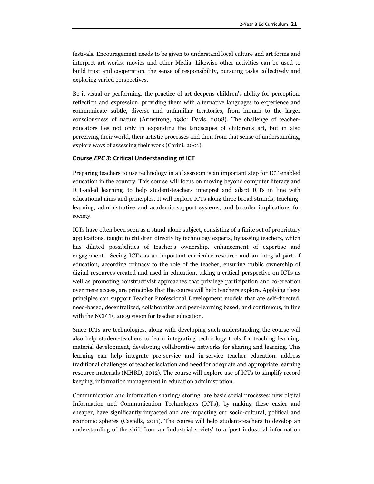festivals. Encouragement needs to be given to understand local culture and art forms and interpret art works, movies and other Media. Likewise other activities can be used to build trust and cooperation, the sense of responsibility, pursuing tasks collectively and exploring varied perspectives.

Be it visual or performing, the practice of art deepens children's ability for perception, reflection and expression, providing them with alternative languages to experience and communicate subtle, diverse and unfamiliar territories, from human to the larger consciousness of nature (Armstrong, 1980; Davis, 2008). The challenge of teachereducators lies not only in expanding the landscapes of children's art, but in also perceiving their world, their artistic processes and then from that sense of understanding, explore ways of assessing their work (Carini, 2001).

#### **Course** *EPC 3***: Critical Understanding of ICT**

Preparing teachers to use technology in a classroom is an important step for ICT enabled education in the country. This course will focus on moving beyond computer literacy and ICT-aided learning, to help student-teachers interpret and adapt ICTs in line with educational aims and principles. It will explore ICTs along three broad strands; teachinglearning, administrative and academic support systems, and broader implications for society.

ICTs have often been seen as a stand-alone subject, consisting of a finite set of proprietary applications, taught to children directly by technology experts, bypassing teachers, which has diluted possibilities of teacher's ownership, enhancement of expertise and engagement. Seeing ICTs as an important curricular resource and an integral part of education, according primacy to the role of the teacher, ensuring public ownership of digital resources created and used in education, taking a critical perspective on ICTs as well as promoting constructivist approaches that privilege participation and co-creation over mere access, are principles that the course will help teachers explore. Applying these principles can support Teacher Professional Development models that are self-directed, need-based, decentralized, collaborative and peer-learning based, and continuous, in line with the NCFTE, 2009 vision for teacher education.

Since ICTs are technologies, along with developing such understanding, the course will also help student-teachers to learn integrating technology tools for teaching learning, material development, developing collaborative networks for sharing and learning. This learning can help integrate pre-service and in-service teacher education, address traditional challenges of teacher isolation and need for adequate and appropriate learning resource materials (MHRD, 2012). The course will explore use of ICTs to simplify record keeping, information management in education administration.

Communication and information sharing/ storing are basic social processes; new digital Information and Communication Technologies (ICTs), by making these easier and cheaper, have significantly impacted and are impacting our socio-cultural, political and economic spheres (Castells, 2011). The course will help student-teachers to develop an understanding of the shift from an 'industrial society' to a 'post industrial information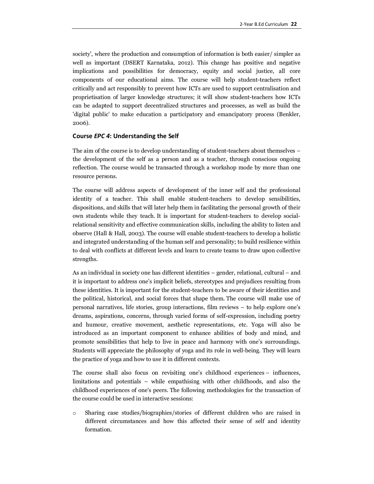society', where the production and consumption of information is both easier/ simpler as well as important (DSERT Karnataka, 2012). This change has positive and negative implications and possibilities for democracy, equity and social justice, all core components of our educational aims. The course will help student-teachers reflect critically and act responsibly to prevent how ICTs are used to support centralisation and proprietisation of larger knowledge structures; it will show student-teachers how ICTs can be adapted to support decentralized structures and processes, as well as build the 'digital public' to make education a participatory and emancipatory process (Benkler, 2006).

#### **Course** *EPC 4***: Understanding the Self**

The aim of the course is to develop understanding of student-teachers about themselves – the development of the self as a person and as a teacher, through conscious ongoing reflection. The course would be transacted through a workshop mode by more than one resource persons.

The course will address aspects of development of the inner self and the professional identity of a teacher. This shall enable student-teachers to develop sensibilities, dispositions, and skills that will later help them in facilitating the personal growth of their own students while they teach. It is important for student-teachers to develop socialrelational sensitivity and effective communication skills, including the ability to listen and observe (Hall & Hall, 2003). The course will enable student-teachers to develop a holistic and integrated understanding of the human self and personality; to build resilience within to deal with conflicts at different levels and learn to create teams to draw upon collective strengths.

As an individual in society one has different identities – gender, relational, cultural – and it is important to address one's implicit beliefs, stereotypes and prejudices resulting from these identities. It is important for the student-teachers to be aware of their identities and the political, historical, and social forces that shape them. The course will make use of personal narratives, life stories, group interactions, film reviews – to help explore one's dreams, aspirations, concerns, through varied forms of self-expression, including poetry and humour, creative movement, aesthetic representations, etc. Yoga will also be introduced as an important component to enhance abilities of body and mind, and promote sensibilities that help to live in peace and harmony with one's surroundings. Students will appreciate the philosophy of yoga and its role in well-being. They will learn the practice of yoga and how to use it in different contexts.

The course shall also focus on revisiting one's childhood experiences – influences, limitations and potentials – while empathising with other childhoods, and also the childhood experiences of one's peers. The following methodologies for the transaction of the course could be used in interactive sessions:

o Sharing case studies/biographies/stories of different children who are raised in different circumstances and how this affected their sense of self and identity formation.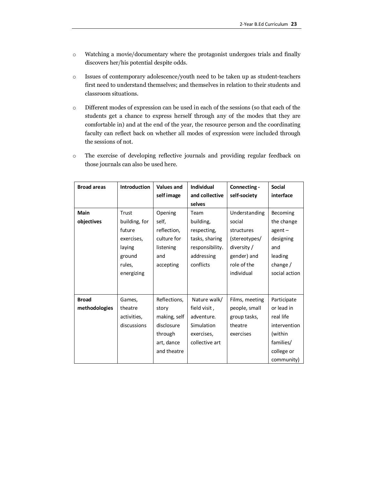- o Watching a movie/documentary where the protagonist undergoes trials and finally discovers her/his potential despite odds.
- o Issues of contemporary adolescence/youth need to be taken up as student-teachers first need to understand themselves; and themselves in relation to their students and classroom situations.
- o Different modes of expression can be used in each of the sessions (so that each of the students get a chance to express herself through any of the modes that they are comfortable in) and at the end of the year, the resource person and the coordinating faculty can reflect back on whether all modes of expression were included through the sessions of not.
- o The exercise of developing reflective journals and providing regular feedback on those journals can also be used here.

| <b>Broad areas</b> | <b>Introduction</b> | <b>Values and</b> | <b>Individual</b> | Connecting -   | <b>Social</b>   |
|--------------------|---------------------|-------------------|-------------------|----------------|-----------------|
|                    |                     | self image        | and collective    | self-society   | interface       |
|                    |                     |                   | selves            |                |                 |
| <b>Main</b>        | Trust               | Opening           | Team              | Understanding  | <b>Becoming</b> |
| objectives         | building, for       | self,             | building,         | social         | the change      |
|                    | future              | reflection,       | respecting,       | structures     | $agent -$       |
|                    | exercises,          | culture for       | tasks, sharing    | (stereotypes/  | designing       |
|                    | laying              | listening         | responsibility.   | diversity /    | and             |
|                    | ground              | and               | addressing        | gender) and    | leading         |
|                    | rules,              | accepting         | conflicts         | role of the    | change /        |
|                    | energizing          |                   |                   | individual     | social action   |
|                    |                     |                   |                   |                |                 |
|                    |                     |                   |                   |                |                 |
| <b>Broad</b>       | Games,              | Reflections,      | Nature walk/      | Films, meeting | Participate     |
| methodologies      | theatre             | story             | field visit,      | people, small  | or lead in      |
|                    | activities,         | making, self      | adventure.        | group tasks,   | real life       |
|                    | discussions         | disclosure        | Simulation        | theatre        | intervention    |
|                    |                     | through           | exercises,        | exercises      | (within         |
|                    |                     | art, dance        | collective art    |                | families/       |
|                    |                     | and theatre       |                   |                | college or      |
|                    |                     |                   |                   |                | community)      |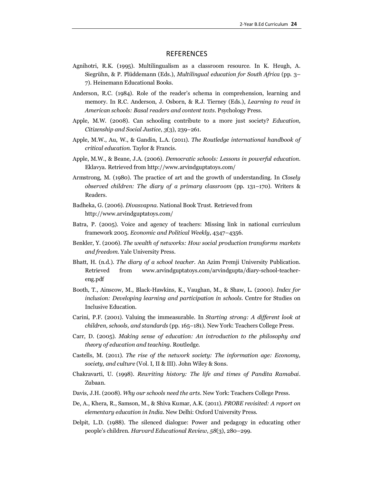### REFERENCES

- Agnihotri, R.K. (1995). Multilingualism as a classroom resource. In K. Heugh, A. Siegrühn, & P. Plüddemann (Eds.), *Multilingual education for South Africa* (pp. 3– 7). Heinemann Educational Books.
- Anderson, R.C. (1984). Role of the reader's schema in comprehension, learning and memory. In R.C. Anderson, J. Osborn, & R.J. Tierney (Eds.), *Learning to read in American schools: Basal readers and content texts*. Psychology Press.
- Apple, M.W. (2008). Can schooling contribute to a more just society? *Education, Citizenship and Social Justice*, *3*(3), 239–261.
- Apple, M.W., Au, W., & Gandin, L.A. (2011). *The Routledge international handbook of critical education*. Taylor & Francis.
- Apple, M.W., & Beane, J.A. (2006). *Democratic schools: Lessons in powerful education*. Eklavya. Retrieved from http://www.arvindguptatoys.com/
- Armstrong, M. (1980). The practice of art and the growth of understanding. In *Closely observed children: The diary of a primary classroom* (pp. 131–170). Writers & Readers.
- Badheka, G. (2006). *Divasvapna*. National Book Trust. Retrieved from http://www.arvindguptatoys.com/
- Batra, P. (2005). Voice and agency of teachers: Missing link in national curriculum framework 2005. *Economic and Political Weekly*, 4347–4356.
- Benkler, Y. (2006). *The wealth of networks: How social production transforms markets and freedom*. Yale University Press.
- Bhatt, H. (n.d.). *The diary of a school teacher*. An Azim Premji University Publication. Retrieved from www.arvindguptatoys.com/arvindgupta/diary-school-teachereng.pdf
- Booth, T., Ainscow, M., Black-Hawkins, K., Vaughan, M., & Shaw, L. (2000). *Index for inclusion: Developing learning and participation in schools.* Centre for Studies on Inclusive Education.
- Carini, P.F. (2001). Valuing the immeasurable. In *Starting strong: A different look at children, schools, and standards* (pp. 165–181). New York: Teachers College Press.
- Carr, D. (2005). *Making sense of education: An introduction to the philosophy and theory of education and teaching.* Routledge.
- Castells, M. (2011). *The rise of the network society: The information age: Economy, society, and culture* (Vol. I, II & III). John Wiley & Sons.
- Chakravarti, U. (1998). *Rewriting history: The life and times of Pandita Ramabai*. Zubaan.
- Davis, J.H. (2008). *Why our schools need the arts*. New York: Teachers College Press.
- De, A., Khera, R., Samson, M., & Shiva Kumar, A.K. (2011). *PROBE revisited: A report on elementary education in India*. New Delhi: Oxford University Press.
- Delpit, L.D. (1988). The silenced dialogue: Power and pedagogy in educating other people's children. *Harvard Educational Review*, *58*(3), 280–299.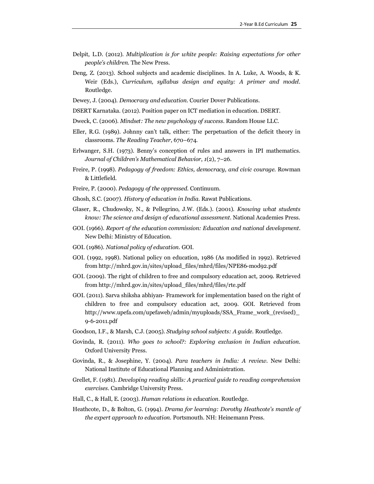- Delpit, L.D. (2012). *Multiplication is for white people: Raising expectations for other people's children*. The New Press.
- Deng, Z. (2013). School subjects and academic disciplines. In A. Luke, A. Woods, & K. Weir (Eds.), *Curriculum, syllabus design and equity: A primer and model*. Routledge.
- Dewey, J. (2004). *Democracy and education*. Courier Dover Publications.
- DSERT Karnataka. (2012). Position paper on ICT mediation in education. DSERT.
- Dweck, C. (2006). *Mindset: The new psychology of success*. Random House LLC.
- Eller, R.G. (1989). Johnny can't talk, either: The perpetuation of the deficit theory in classrooms. *The Reading Teacher*, 670–674.
- Erlwanger, S.H. (1973). Benny's conception of rules and answers in IPI mathematics. *Journal of Children's Mathematical Behavior*, *1*(2), 7–26.
- Freire, P. (1998). *Pedagogy of freedom: Ethics, democracy, and civic courage*. Rowman & Littlefield.
- Freire, P. (2000). *Pedagogy of the oppressed*. Continuum.
- Ghosh, S.C. (2007). *History of education in India*. Rawat Publications.
- Glaser, R., Chudowsky, N., & Pellegrino, J.W. (Eds.). (2001). *Knowing what students know: The science and design of educational assessment*. National Academies Press.
- GOI. (1966). *Report of the education commission: Education and national development*. New Delhi: Ministry of Education.
- GOI. (1986). *National policy of education*. GOI.
- GOI. (1992, 1998). National policy on education, 1986 (As modified in 1992). Retrieved from http://mhrd.gov.in/sites/upload\_files/mhrd/files/NPE86-mod92.pdf
- GOI. (2009). The right of children to free and compulsory education act, 2009. Retrieved from http://mhrd.gov.in/sites/upload\_files/mhrd/files/rte.pdf
- GOI. (2011). Sarva shiksha abhiyan- Framework for implementation based on the right of children to free and compulsory education act, 2009. GOI. Retrieved from http://www.upefa.com/upefaweb/admin/myuploads/SSA\_Frame\_work\_(revised)\_ 9-6-2011.pdf
- Goodson, I.F., & Marsh, C.J. (2005). *Studying school subjects: A guide*. Routledge.
- Govinda, R. (2011). *Who goes to school?: Exploring exclusion in Indian education*. Oxford University Press.
- Govinda, R., & Josephine, Y. (2004). *Para teachers in India: A review*. New Delhi: National Institute of Educational Planning and Administration.
- Grellet, F. (1981). *Developing reading skills: A practical guide to reading comprehension exercises*. Cambridge University Press.
- Hall, C., & Hall, E. (2003). *Human relations in education*. Routledge.
- Heathcote, D., & Bolton, G. (1994). *Drama for learning: Dorothy Heathcote's mantle of the expert approach to education*. Portsmouth. NH: Heinemann Press.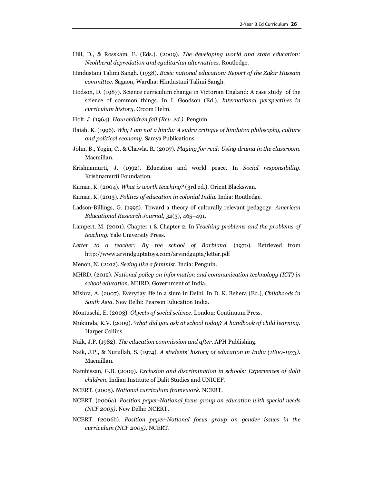- Hill, D., & Rosskam, E. (Eds.). (2009). *The developing world and state education: Neoliberal depredation and egalitarian alternatives*. Routledge.
- Hindustani Talimi Sangh. (1938). *Basic national education: Report of the Zakir Hussain committee*. Sagaon, Wardha: Hindustani Talimi Sangh.
- Hodson, D. (1987). Science curriculum change in Victorian England: A case study of the science of common things. In I. Goodson (Ed.), *International perspectives in curriculum history*. Croom Helm.
- Holt, J. (1964). *How children fail (Rev. ed.)*. Penguin.
- Ilaiah, K. (1996). *Why I am not a hindu: A sudra critique of hindutva philosophy, culture and political economy*. Samya Publications.
- John, B., Yogin, C., & Chawla, R. (2007). *Playing for real: Using drama in the classroom*. Macmillan.
- Krishnamurti, J. (1992). Education and world peace. In *Social responsibility*. Krishnamurti Foundation.
- Kumar, K. (2004). *What is worth teaching?* (3rd ed.). Orient Blackswan.
- Kumar, K. (2013). *Politics of education in colonial India*. India: Routledge.
- Ladson-Billings, G. (1995). Toward a theory of culturally relevant pedagogy. *American Educational Research Journal*, *32*(3), 465–491.
- Lampert, M. (2001). Chapter 1 & Chapter 2. In *Teaching problems and the problems of teaching*. Yale University Press.
- *Letter to a teacher: By the school of Barbiana*. (1970). Retrieved from http://www.arvindguptatoys.com/arvindgupta/letter.pdf
- Menon, N. (2012). *Seeing like a feminist*. India: Penguin.
- MHRD. (2012). *National policy on information and communication technology (ICT) in school education*. MHRD, Government of India.
- Mishra, A. (2007). Everyday life in a slum in Delhi. In D. K. Behera (Ed.), *Childhoods in South Asia*. New Delhi: Pearson Education India.
- Montuschi, E. (2003). *Objects of social science*. London: Continuum Press.
- Mukunda, K.V. (2009). *What did you ask at school today? A handbook of child learning*. Harper Collins.
- Naik, J.P. (1982). *The education commission and after*. APH Publishing.
- Naik, J.P., & Nurullah, S. (1974). *A students' history of education in India (1800-1973)*. Macmillan.
- Nambissan, G.B. (2009). *Exclusion and discrimination in schools: Experiences of dalit children*. Indian Institute of Dalit Studies and UNICEF.
- NCERT. (2005). *National curriculum framework*. NCERT.
- NCERT. (2006a). *Position paper-National focus group on education with special needs (NCF 2005)*. New Delhi: NCERT.
- NCERT. (2006b). *Position paper-National focus group on gender issues in the curriculum (NCF 2005)*. NCERT.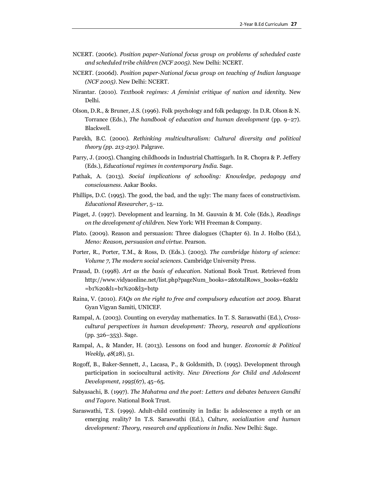- NCERT. (2006c). *Position paper-National focus group on problems of scheduled caste and scheduled tribe children (NCF 2005)*. New Delhi: NCERT.
- NCERT. (2006d). *Position paper-National focus group on teaching of Indian language (NCF 2005)*. New Delhi: NCERT.
- Nirantar. (2010). *Textbook regimes: A feminist critique of nation and identity*. New Delhi.
- Olson, D.R., & Bruner, J.S. (1996). Folk psychology and folk pedagogy. In D.R. Olson & N. Torrance (Eds.), *The handbook of education and human development* (pp. 9–27). Blackwell.
- Parekh, B.C. (2000). *Rethinking multiculturalism: Cultural diversity and political theory (pp. 213-230)*. Palgrave.
- Parry, J. (2005). Changing childhoods in Industrial Chattisgarh. In R. Chopra & P. Jeffery (Eds.), *Educational regimes in contemporary India*. Sage.
- Pathak, A. (2013). *Social implications of schooling: Knowledge, pedagogy and consciousness*. Aakar Books.
- Phillips, D.C. (1995). The good, the bad, and the ugly: The many faces of constructivism. *Educational Researcher*, 5–12.
- Piaget, J. (1997). Development and learning. In M. Gauvain & M. Cole (Eds.), *Readings on the development of children*. New York: WH Freeman & Company.
- Plato. (2009). Reason and persuasion: Three dialogues (Chapter 6). In J. Holbo (Ed.), *Meno: Reason, persuasion and virtue*. Pearson.
- Porter, R., Porter, T.M., & Ross, D. (Eds.). (2003). *The cambridge history of science: Volume 7, The modern social sciences*. Cambridge University Press.
- Prasad, D. (1998). *Art as the basis of education*. National Book Trust. Retrieved from http://www.vidyaonline.net/list.php?pageNum\_books=2&totalRows\_books=62&l2 =b1%20&l1=b1%20&l3=b1tp
- Raina, V. (2010). *FAQs on the right to free and compulsory education act 2009*. Bharat Gyan Vigyan Samiti, UNICEF.
- Rampal, A. (2003). Counting on everyday mathematics. In T. S. Saraswathi (Ed.), *Crosscultural perspectives in human development: Theory, research and applications* (pp. 326–353). Sage.
- Rampal, A., & Mander, H. (2013). Lessons on food and hunger. *Economic & Political Weekly*, *48*(28), 51.
- Rogoff, B., Baker-Sennett, J., Lacasa, P., & Goldsmith, D. (1995). Development through participation in sociocultural activity. *New Directions for Child and Adolescent Development*, *1995*(67), 45–65.
- Sabyasachi, B. (1997). *The Mahatma and the poet: Letters and debates between Gandhi and Tagore*. National Book Trust.
- Saraswathi, T.S. (1999). Adult-child continuity in India: Is adolescence a myth or an emerging reality? In T.S. Saraswathi (Ed.), *Culture, socialization and human development: Theory, research and applications in India*. New Delhi: Sage.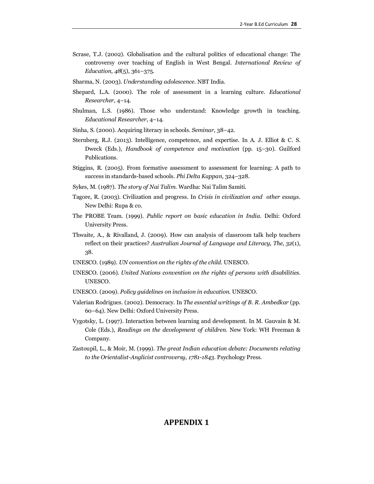- Scrase, T.J. (2002). Globalisation and the cultural politics of educational change: The controversy over teaching of English in West Bengal. *International Review of Education*, *48*(5), 361–375.
- Sharma, N. (2003). *Understanding adolescence*. NBT India.
- Shepard, L.A. (2000). The role of assessment in a learning culture. *Educational Researcher*, 4–14.
- Shulman, L.S. (1986). Those who understand: Knowledge growth in teaching. *Educational Researcher*, 4–14.
- Sinha, S. (2000). Acquiring literacy in schools. *Seminar*, 38–42.
- Sternberg, R.J. (2013). Intelligence, competence, and expertise. In A. J. Elliot & C. S. Dweck (Eds.), *Handbook of competence and motivation* (pp. 15–30). Guilford Publications.
- Stiggins, R. (2005). From formative assessment to assessment for learning: A path to success in standards-based schools. *Phi Delta Kappan*, 324–328.
- Sykes, M. (1987). *The story of Nai Talim*. Wardha: Nai Talim Samiti.
- Tagore, R. (2003). Civilization and progress. In *Crisis in civilization and other essays*. New Delhi: Rupa & co.
- The PROBE Team. (1999). *Public report on basic education in India*. Delhi: Oxford University Press.
- Thwaite, A., & Rivalland, J. (2009). How can analysis of classroom talk help teachers reflect on their practices? *Australian Journal of Language and Literacy, The*, *32*(1), 38.
- UNESCO. (1989). *UN convention on the rights of the child*. UNESCO.
- UNESCO. (2006). *United Nations convention on the rights of persons with disabilities*. UNESCO.
- UNESCO. (2009). *Policy guidelines on inclusion in education*. UNESCO.
- Valerian Rodrigues. (2002). Democracy. In *The essential writings of B. R. Ambedkar* (pp. 60–64). New Delhi: Oxford University Press.
- Vygotsky, L. (1997). Interaction between learning and development. In M. Gauvain & M. Cole (Eds.), *Readings on the development of children*. New York: WH Freeman & Company.
- Zastoupil, L., & Moir, M. (1999). *The great Indian education debate: Documents relating to the Orientalist-Anglicist controversy, 1781-1843*. Psychology Press.

## **APPENDIX 1**